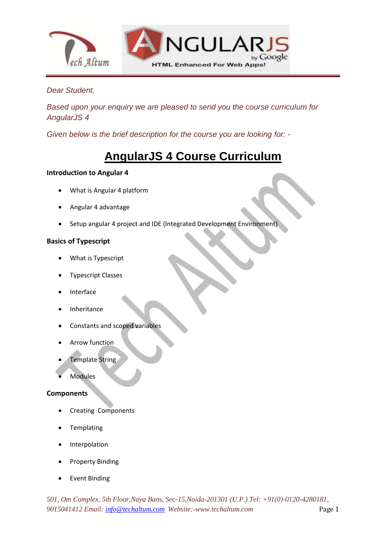

## *Dear Student,*

*Based upon your enquiry we are pleased to send you the course curriculum for AngularJS 4*

*Given below is the brief description for the course you are looking for: -*

# **AngularJS 4 Course Curriculum**

## **Introduction to Angular 4**

- What is Angular 4 platform
- Angular 4 advantage
- Setup angular 4 project and IDE (Integrated Development Environment)

## **Basics of Typescript**

- What is Typescript
- Typescript Classes
- Interface
- Inheritance
- Constants and scoped variables
- Arrow function
- Template String
- Modules

## **Components**

- Creating Components
- Templating
- Interpolation
- Property Binding
- Event Binding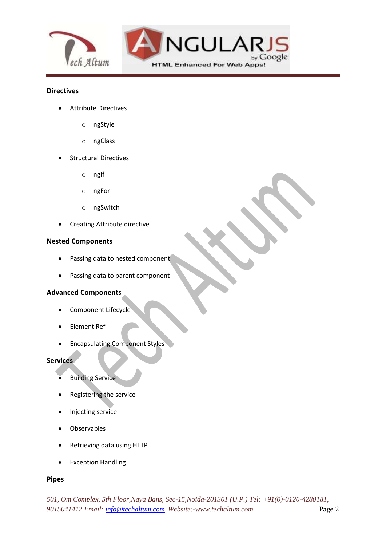

### **Directives**

- Attribute Directives
	- o ngStyle
	- o ngClass
- Structural Directives
	- o ngIf
	- o ngFor
	- o ngSwitch
- Creating Attribute directive

#### **Nested Components**

- Passing data to nested component
- Passing data to parent component

#### **Advanced Components**

- Component Lifecycle
- Element Ref
- **•** Encapsulating Component Styles

#### **Services**

- Building Service
- Registering the service
- Injecting service
- Observables
- Retrieving data using HTTP
- Exception Handling

## **Pipes**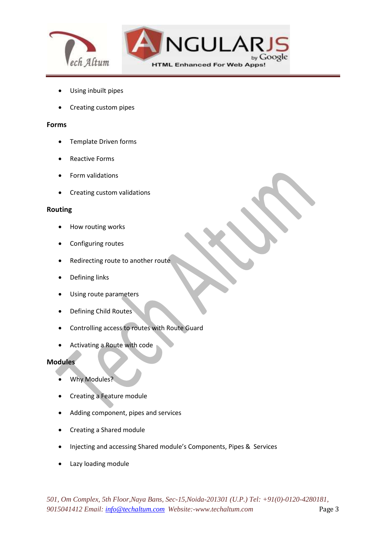

- Using inbuilt pipes
- Creating custom pipes

#### **Forms**

- Template Driven forms
- Reactive Forms
- Form validations
- Creating custom validations

#### **Routing**

- How routing works
- Configuring routes
- Redirecting route to another route
- Defining links
- Using route parameters
- Defining Child Routes
- Controlling access to routes with Route Guard
- Activating a Route with code

#### **Modules**

- Why Modules?
- Creating a Feature module
- Adding component, pipes and services
- Creating a Shared module
- Injecting and accessing Shared module's Components, Pipes & Services
- Lazy loading module